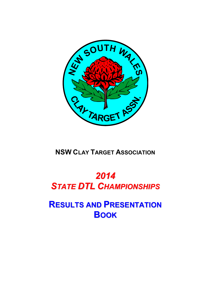

**NSW CLAY TARGET ASSOCIATION**

# *2014 STATE DTL CHAMPIONSHIPS*

**RESULTS AND PRESENTATION BOOK**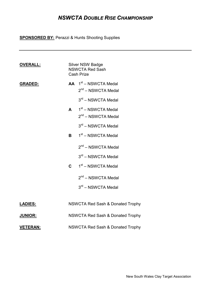# *NSWCTA DOUBLE RISE CHAMPIONSHIP*

**SPONSORED BY:** Perazzi & Hunts Shooting Supplies

| <b>OVERALL:</b> |              | <b>Silver NSW Badge</b><br><b>NSWCTA Red Sash</b><br><b>Cash Prize</b> |
|-----------------|--------------|------------------------------------------------------------------------|
| <b>GRADED:</b>  |              | AA 1 <sup>st</sup> – NSWCTA Medal<br>2 <sup>nd</sup> - NSWCTA Medal    |
|                 |              | 3rd - NSWCTA Medal                                                     |
|                 | $\mathbf{A}$ | 1st - NSWCTA Medal<br>2 <sup>nd</sup> – NSWCTA Medal                   |
|                 |              | 3rd - NSWCTA Medal                                                     |
|                 | B            | 1 <sup>st</sup> – NSWCTA Medal                                         |
|                 |              | 2 <sup>nd</sup> – NSWCTA Medal                                         |
|                 |              | 3rd - NSWCTA Medal                                                     |
|                 | $\mathbf C$  | 1st - NSWCTA Medal                                                     |
|                 |              | 2 <sup>nd</sup> - NSWCTA Medal                                         |
|                 |              | 3rd - NSWCTA Medal                                                     |
| <u>LADIES:</u>  |              | NSWCTA Red Sash & Donated Trophy                                       |
| <b>JUNIOR:</b>  |              | <b>NSWCTA Red Sash &amp; Donated Trophy</b>                            |
| <b>VETERAN:</b> |              | <b>NSWCTA Red Sash &amp; Donated Trophy</b>                            |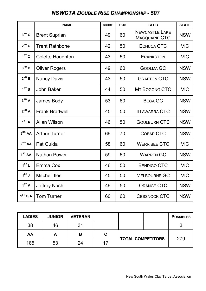# *NSWCTA DOUBLE RISE CHAMPIONSHIP - 50T*

|                     | <b>NAME</b>           | <b>SCORE</b> | <b>TGTS</b> | <b>CLUB</b>                                   | <b>STATE</b> |
|---------------------|-----------------------|--------------|-------------|-----------------------------------------------|--------------|
| $3^{RD}C$           | <b>Brent Suprian</b>  | 49           | 60          | <b>NEWCASTLE LAKE</b><br><b>MACQUARIE CTC</b> | <b>NSW</b>   |
| $2^{ND}C$           | <b>Trent Rathbone</b> | 42           | 50          | <b>ECHUCA CTC</b>                             | <b>VIC</b>   |
| $1ST$ C             | Colette Houghton      | 43           | 50          | <b>FRANKSTON</b>                              | <b>VIC</b>   |
| $3^{RD}B$           | <b>Oliver Rogers</b>  | 49           | 60          | <b>GOOLMA GC</b>                              | <b>NSW</b>   |
| $2^{ND}$ B          | <b>Nancy Davis</b>    | 43           | 50          | <b>GRAFTON CTC</b>                            | <b>NSW</b>   |
| 1 <sup>ST</sup> B   | <b>John Baker</b>     | 44           | 50          | MT BOGONG CTC                                 | <b>VIC</b>   |
| $3^{RD}$ A          | James Body            | 53           | 60          | <b>BEGA GC</b>                                | <b>NSW</b>   |
| $2^{ND}$ A          | <b>Frank Bradwell</b> | 45           | 50          | <b>ILLAWARRA CTC</b>                          | <b>NSW</b>   |
| 1 <sup>ST</sup> A   | <b>Allan Wilson</b>   | 46           | 50          | <b>GOULBURN CTC</b>                           | <b>NSW</b>   |
| 3 <sup>RD</sup> AA  | <b>Arthur Turner</b>  | 69           | 70          | <b>COBAR CTC</b>                              | <b>NSW</b>   |
| $2^{ND}$ AA         | Pat Guida             | 58           | 60          | <b>WERRIBEE CTC</b>                           | <b>VIC</b>   |
| 1 <sup>ST</sup> AA  | <b>Nathan Power</b>   | 59           | 60          | <b>WARREN GC</b>                              | <b>NSW</b>   |
| 1 <sup>ST</sup> L   | Emma Cox              | 46           | 50          | <b>BENDIGO CTC</b>                            | <b>VIC</b>   |
| $1^{ST}$ J          | <b>Mitchell Iles</b>  | 45           | 50          | <b>MELBOURNE GC</b>                           | <b>VIC</b>   |
| 1 <sup>ST</sup> V   | <b>Jeffrey Nash</b>   | 49           | 50          | <b>ORANGE CTC</b>                             | <b>NSW</b>   |
| 1 <sup>ST</sup> O/A | <b>Tom Turner</b>     | 60           | 60          | <b>CESSNOCK CTC</b>                           | <b>NSW</b>   |

| <b>LADIES</b> | <b>JUNIOR</b> | <b>VETERAN</b> |   |                          | <b>POSSIBLES</b> |
|---------------|---------------|----------------|---|--------------------------|------------------|
| 38            | 46            | 31             |   |                          |                  |
| AA            | A             | В              | C | <b>TOTAL COMPETITORS</b> | 279              |
| 185           | 53            | 24             |   |                          |                  |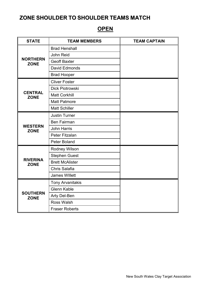# **OPEN**

| <b>STATE</b>                   | <b>TEAM MEMBERS</b>     | <b>TEAM CAPTAIN</b> |
|--------------------------------|-------------------------|---------------------|
|                                | <b>Brad Henshall</b>    |                     |
|                                | John Reid               |                     |
| <b>NORTHERN</b><br><b>ZONE</b> | <b>Geoff Baxter</b>     |                     |
|                                | David Edmonds           |                     |
|                                | <b>Brad Hooper</b>      |                     |
|                                | <b>Cliver Foster</b>    |                     |
|                                | Dick Piotrowski         |                     |
| <b>CENTRAL</b><br><b>ZONE</b>  | <b>Matt Corkhill</b>    |                     |
|                                | <b>Matt Patmore</b>     |                     |
|                                | <b>Matt Schiller</b>    |                     |
|                                | <b>Justin Turner</b>    |                     |
|                                | <b>Ben Fairman</b>      |                     |
| <b>WESTERN</b><br><b>ZONE</b>  | <b>John Harris</b>      |                     |
|                                | Peter Fitzalan          |                     |
|                                | Peter Boland            |                     |
|                                | Rodney Wilson           |                     |
|                                | <b>Stephen Guest</b>    |                     |
| <b>RIVERINA</b><br><b>ZONE</b> | <b>Brett McAlister</b>  |                     |
|                                | Chris Salafia           |                     |
|                                | <b>James Willett</b>    |                     |
|                                | <b>Tony Arvanitakis</b> |                     |
|                                | <b>Glenn Kable</b>      |                     |
| <b>SOUTHERN</b><br><b>ZONE</b> | Arty Del-Ben            |                     |
|                                | <b>Ross Walsh</b>       |                     |
|                                | <b>Fraser Roberts</b>   |                     |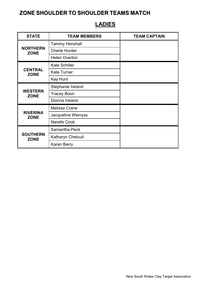#### STATE **TEAM MEMBERS** TEAM CAPTAIN **NORTHERN ZONE** Tammy Henshall Cherie Hunter Helen Overton **CENTRAL ZONE** Kate Schiller Kate Turner Kay Hunt **WESTERN ZONE** Stephanie Ireland Tracey Boon Dianna Ireland **RIVERINA ZONE** Melissa Crane Jacqueline Wemyss Narelle Cook **SOUTHERN ZONE** Samantha Peck Katharyn Chetcuti Karen Berry

### **LADIES**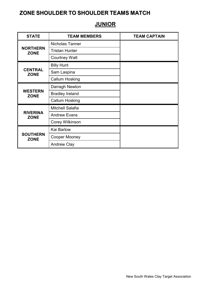# **JUNIOR**

| <b>STATE</b>                   | <b>TEAM MEMBERS</b>    | <b>TEAM CAPTAIN</b> |
|--------------------------------|------------------------|---------------------|
|                                | Nicholas Tanner        |                     |
| <b>NORTHERN</b><br><b>ZONE</b> | <b>Tristan Hunter</b>  |                     |
|                                | <b>Courtney Watt</b>   |                     |
|                                | <b>Billy Hunt</b>      |                     |
| <b>CENTRAL</b><br><b>ZONE</b>  | Sam Laspina            |                     |
|                                | <b>Callum Hosking</b>  |                     |
|                                | Darragh Newton         |                     |
| <b>WESTERN</b><br><b>ZONE</b>  | <b>Bradley Ireland</b> |                     |
|                                | <b>Callum Hosking</b>  |                     |
|                                | Mitchell Salafia       |                     |
| <b>RIVERINA</b><br><b>ZONE</b> | <b>Andrew Evans</b>    |                     |
|                                | Corey Wilkinson        |                     |
|                                | Kai Barlow             |                     |
| <b>SOUTHERN</b><br><b>ZONE</b> | <b>Cooper Mooney</b>   |                     |
|                                | <b>Andrew Clay</b>     |                     |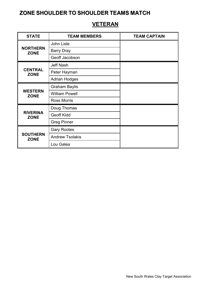#### STATE **TEAM MEMBERS TEAM CAPTAIN NORTHERN ZONE** John Lisle Barry Dray Geoff Jacobson **CENTRAL ZONE** Jeff Nash Peter Hayman Adrian Hodges **WESTERN ZONE** Graham Baylis William Powell Ross Morris **RIVERINA ZONE** Doug Thomas Geoff Kidd Greg Pinner **SOUTHERN ZONE** Gary Rootes Andrew Tsolakis Lou Galea

### **VETERAN**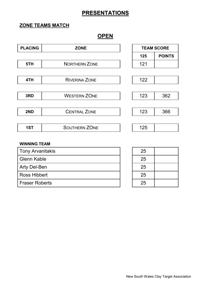### **ZONE TEAMS MATCH**

### **OPEN**

| <b>PLACING</b> | <b>ZONE</b>          | <b>TEAM SCORE</b> |               |
|----------------|----------------------|-------------------|---------------|
|                |                      | 125               | <b>POINTS</b> |
| 5TH            | <b>NORTHERN ZONE</b> | 121               |               |
|                |                      |                   |               |
| 4TH            | <b>RIVERINA ZONE</b> | 122               |               |
|                |                      |                   |               |
| 3RD            | <b>WESTERN ZONE</b>  | 123               | 362           |
|                |                      |                   |               |
| 2ND            | <b>CENTRAL ZONE</b>  | 123               | 366           |
|                |                      |                   |               |
| 1ST            | <b>SOUTHERN ZONE</b> | 125               |               |

| Tony Arvanitakis | 25 |
|------------------|----|
| l Glenn Kable    | 25 |
| Arty Del-Ben     | 25 |
| Ross Hibbert     | 25 |
| l Fraser Roberts | 25 |

| 25 |  |
|----|--|
| 25 |  |
| 25 |  |
| 25 |  |
| 25 |  |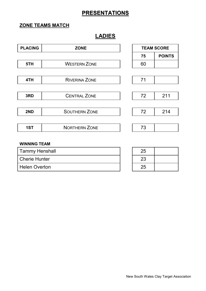### **ZONE TEAMS MATCH**

### **LADIES**

| <b>PLACING</b> | <b>ZONE</b>          | <b>TEAM SCORE</b> |               |  |
|----------------|----------------------|-------------------|---------------|--|
|                |                      | 75                | <b>POINTS</b> |  |
| 5TH            | <b>WESTERN ZONE</b>  | 60                |               |  |
|                |                      |                   |               |  |
| 4TH            | <b>RIVERINA ZONE</b> | 71                |               |  |
|                |                      |                   |               |  |
| 3RD            | <b>CENTRAL ZONE</b>  | 72                | 211           |  |
|                |                      |                   |               |  |
| 2ND            | <b>SOUTHERN ZONE</b> | 72                | 214           |  |
|                |                      |                   |               |  |
| 1ST            | <b>NORTHERN ZONE</b> | 73                |               |  |
|                |                      |                   |               |  |

| Tammy Henshall       |  |
|----------------------|--|
| <b>Cherie Hunter</b> |  |
| <b>Helen Overton</b> |  |

| 25 |  |
|----|--|
| 23 |  |
| 25 |  |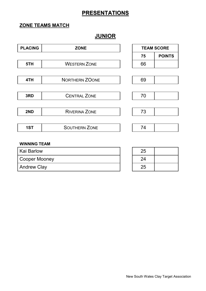### **ZONE TEAMS MATCH**

# **JUNIOR**

| <b>PLACING</b> | <b>ZONE</b>           | <b>TEAM SCORE</b> |               |
|----------------|-----------------------|-------------------|---------------|
|                |                       | 75                | <b>POINTS</b> |
| 5TH            | <b>WESTERN ZONE</b>   | 66                |               |
|                |                       |                   |               |
| 4TH            | <b>NORTHERN ZOONE</b> | 69                |               |
|                |                       |                   |               |
| 3RD            | <b>CENTRAL ZONE</b>   | 70                |               |
|                |                       |                   |               |
| 2ND            | <b>RIVERINA ZONE</b>  | 73                |               |
|                |                       |                   |               |
| 1ST            | <b>SOUTHERN ZONE</b>  | 74                |               |
|                |                       |                   |               |

| <b>Kai Barlow</b>  | 25 |
|--------------------|----|
| Cooper Mooney      | 24 |
| <b>Andrew Clay</b> | 25 |

| 25 |  |
|----|--|
| 24 |  |
| 25 |  |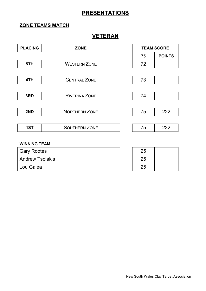### **ZONE TEAMS MATCH**

### **VETERAN**

| <b>PLACING</b> | <b>ZONE</b>          |    | <b>TEAM SCORE</b> |
|----------------|----------------------|----|-------------------|
|                |                      | 75 | <b>POINTS</b>     |
| 5TH            | <b>WESTERN ZONE</b>  | 72 |                   |
|                |                      |    |                   |
| 4TH            | <b>CENTRAL ZONE</b>  | 73 |                   |
|                |                      |    |                   |
| 3RD            | <b>RIVERINA ZONE</b> | 74 |                   |
|                |                      |    |                   |
| 2ND            | <b>NORTHERN ZONE</b> | 75 | 222               |
|                |                      |    |                   |
| 1ST            | <b>SOUTHERN ZONE</b> | 75 | 222               |
|                |                      |    |                   |

| <b>Gary Rootes</b>     | 25 |
|------------------------|----|
| <b>Andrew Tsolakis</b> |    |
| Lou Galea              |    |

| 25 |  |
|----|--|
| 25 |  |
| 25 |  |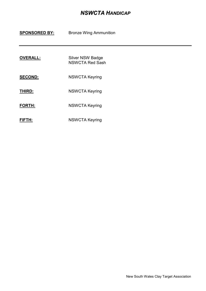### *NSWCTA HANDICAP*

#### **SPONSORED BY:** Bronze Wing Ammunition

| <b>OVERALL:</b> | Silver NSW Badge       |
|-----------------|------------------------|
|                 | <b>NSWCTA Red Sash</b> |

- SECOND: NSWCTA Keyring
- **THIRD:** NSWCTA Keyring
- **FORTH:** NSWCTA Keyring
- **FIFTH:** NSWCTA Keyring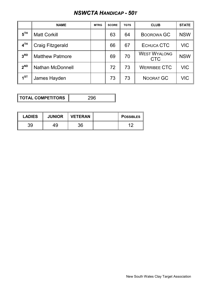# *NSWCTA HANDICAP - 50T*

|                 | <b>NAME</b>             | <b>MTRG</b> | <b>SCORE</b> | <b>TGTS</b> | <b>CLUB</b>                       | <b>STATE</b> |
|-----------------|-------------------------|-------------|--------------|-------------|-----------------------------------|--------------|
| 5 <sup>TH</sup> | <b>Matt Corkill</b>     |             | 63           | 64          | <b>BOOROWA GC</b>                 | <b>NSW</b>   |
| 4 <sup>TH</sup> | Craig Fitzgerald        |             | 66           | 67          | ECHUCA CTC                        | <b>VIC</b>   |
| 3 <sup>RD</sup> | <b>Matthew Patmore</b>  |             | 69           | 70          | <b>WEST WYALONG</b><br><b>CTC</b> | <b>NSW</b>   |
| $2^{ND}$        | <b>Nathan McDonnell</b> |             | 72           | 73          | <b>WERRIBEE CTC</b>               | <b>VIC</b>   |
| 1 <sup>ST</sup> | James Hayden            |             | 73           | 73          | NOORAT GC                         | VIC          |

**TOTAL COMPETITORS** 296

| <b>LADIES</b> | <b>JUNIOR</b> | <b>VETERAN</b> | <b>POSSIBLES</b> |
|---------------|---------------|----------------|------------------|
| 39            | 49            | 36             |                  |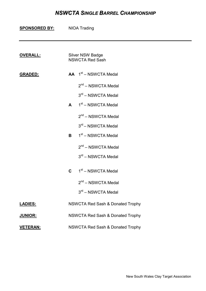### *NSWCTA SINGLE BARREL CHAMPIONSHIP*

| <b>SPONSORED BY:</b> |                                             | <b>NIOA Trading</b>                        |  |  |
|----------------------|---------------------------------------------|--------------------------------------------|--|--|
|                      |                                             |                                            |  |  |
| <b>OVERALL:</b>      |                                             | Silver NSW Badge<br><b>NSWCTA Red Sash</b> |  |  |
| <b>GRADED:</b>       |                                             | $AA$ 1 <sup>st</sup> – NSWCTA Medal        |  |  |
|                      |                                             | $2nd$ – NSWCTA Medal                       |  |  |
|                      |                                             | 3rd - NSWCTA Medal                         |  |  |
|                      | $\mathbf{A}$                                | 1 <sup>st</sup> – NSWCTA Medal             |  |  |
|                      |                                             | $2^{nd}$ – NSWCTA Medal                    |  |  |
|                      |                                             | 3rd - NSWCTA Medal                         |  |  |
|                      | B                                           | 1 <sup>st</sup> – NSWCTA Medal             |  |  |
|                      |                                             | $2nd$ – NSWCTA Medal                       |  |  |
|                      |                                             | 3rd - NSWCTA Medal                         |  |  |
|                      | C                                           | 1 <sup>st</sup> – NSWCTA Medal             |  |  |
|                      |                                             | $2nd$ – NSWCTA Medal                       |  |  |
|                      |                                             | $3rd$ – NSWCTA Medal                       |  |  |
| <b>LADIES:</b>       | <b>NSWCTA Red Sash &amp; Donated Trophy</b> |                                            |  |  |
| <b>JUNIOR:</b>       | NSWCTA Red Sash & Donated Trophy            |                                            |  |  |
| <b>VETERAN:</b>      | <b>NSWCTA Red Sash &amp; Donated Trophy</b> |                                            |  |  |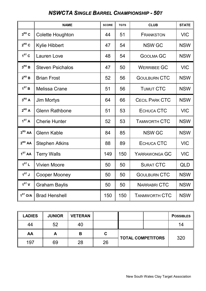# *NSWCTA SINGLE BARREL CHAMPIONSHIP - 50T*

|                     | <b>NAME</b>             | <b>SCORE</b> | <b>TGTS</b> | <b>CLUB</b>           | <b>STATE</b> |
|---------------------|-------------------------|--------------|-------------|-----------------------|--------------|
| $3^{RD}C$           | Colette Houghton        | 44           | 51          | <b>FRANKSTON</b>      | <b>VIC</b>   |
| $2^{ND}C$           | <b>Kylie Hibbert</b>    | 47           | 54          | <b>NSW GC</b>         | <b>NSW</b>   |
| $1ST$ C             | Lauren Love             | 48           | 54          | <b>GOOLMA GC</b>      | <b>NSW</b>   |
| $3^{RD}$ B          | <b>Steven Psichalos</b> | 47           | 50          | <b>WERRIBEE GC</b>    | <b>VIC</b>   |
| $2^{ND}$ B          | <b>Brian Frost</b>      | 52           | 56          | <b>GOULBURN CTC</b>   | <b>NSW</b>   |
| 1 <sup>ST</sup> B   | Melissa Crane           | 51           | 56          | <b>TUMUT CTC</b>      | <b>NSW</b>   |
| $3^{RD}A$           | Jim Mortys              | 64           | 66          | <b>CECIL PARK CTC</b> | <b>NSW</b>   |
| $2^{ND}$ A          | <b>Glenn Rathbone</b>   | 51           | 53          | ECHUCA CTC            | <b>VIC</b>   |
| 1 <sup>ST</sup> A   | <b>Cherie Hunter</b>    | 52           | 53          | <b>TAMWORTH CTC</b>   | <b>NSW</b>   |
| 3 <sup>RD</sup> AA  | <b>Glenn Kable</b>      | 84           | 85          | <b>NSW GC</b>         | <b>NSW</b>   |
| $2^{ND}$ AA         | <b>Stephen Atkins</b>   | 88           | 89          | ECHUCA CTC            | <b>VIC</b>   |
| 1 <sup>ST</sup> AA  | <b>Terry Walls</b>      | 149          | 150         | YARRAWONGA GC         | <b>VIC</b>   |
| 1 <sup>ST</sup> L   | <b>Vivien Moore</b>     | 50           | 50          | <b>SURAT CTC</b>      | QLD          |
| $1^{ST}$ J          | Cooper Mooney           | 50           | 50          | <b>GOULBURN CTC</b>   | <b>NSW</b>   |
| 1 <sup>ST</sup> V   | <b>Graham Baylis</b>    | 50           | 50          | NARRABRI CTC          | <b>NSW</b>   |
| 1 <sup>ST</sup> O/A | <b>Brad Henshell</b>    | 150          | 150         | <b>TANMWORTH CTC</b>  | <b>NSW</b>   |

| <b>LADIES</b> | <b>JUNIOR</b> | <b>VETERAN</b> |    |                          | <b>POSSIBLES</b> |
|---------------|---------------|----------------|----|--------------------------|------------------|
| 44            | 52            | 40             |    |                          | 14               |
| AA            | A             | В              | C  | <b>TOTAL COMPETITORS</b> | 320              |
| 197           | 69            | 28             | 26 |                          |                  |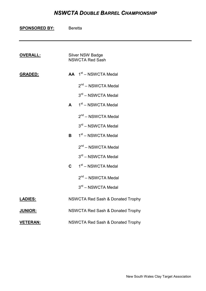### *NSWCTA DOUBLE BARREL CHAMPIONSHIP*

| <u>SPONSORED BY:</u> | <b>Beretta</b>                              |                                                   |  |  |
|----------------------|---------------------------------------------|---------------------------------------------------|--|--|
| <b>OVERALL:</b>      |                                             | <b>Silver NSW Badge</b><br><b>NSWCTA Red Sash</b> |  |  |
| <b>GRADED:</b>       |                                             | $AA$ 1 <sup>st</sup> – NSWCTA Medal               |  |  |
|                      |                                             | $2^{nd}$ – NSWCTA Medal                           |  |  |
|                      |                                             | $3rd$ – NSWCTA Medal                              |  |  |
|                      | $\mathbf{A}$                                | 1 <sup>st</sup> – NSWCTA Medal                    |  |  |
|                      |                                             | 2 <sup>nd</sup> – NSWCTA Medal                    |  |  |
|                      |                                             | $3rd$ – NSWCTA Medal                              |  |  |
|                      | B                                           | 1 <sup>st</sup> – NSWCTA Medal                    |  |  |
|                      |                                             | 2 <sup>nd</sup> – NSWCTA Medal                    |  |  |
|                      |                                             | $3rd$ – NSWCTA Medal                              |  |  |
|                      | $\mathbf{C}$                                | 1 <sup>st</sup> – NSWCTA Medal                    |  |  |
|                      |                                             | $2nd - NSWCTA Medal$                              |  |  |
|                      |                                             | $3rd$ – NSWCTA Medal                              |  |  |
| <b>LADIES:</b>       |                                             | <b>NSWCTA Red Sash &amp; Donated Trophy</b>       |  |  |
| <b>JUNIOR:</b>       |                                             | <b>NSWCTA Red Sash &amp; Donated Trophy</b>       |  |  |
| <b>VETERAN:</b>      | <b>NSWCTA Red Sash &amp; Donated Trophy</b> |                                                   |  |  |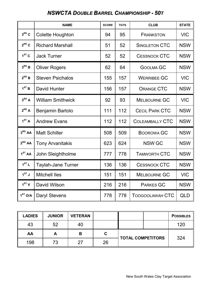# *NSWCTA DOUBLE BARREL CHAMPIONSHIP - 50T*

|                     | <b>NAME</b>               | <b>SCORE</b> | <b>TGTS</b> | <b>CLUB</b>            | <b>STATE</b> |
|---------------------|---------------------------|--------------|-------------|------------------------|--------------|
| $3RD$ C             | <b>Colette Houghton</b>   | 94           | 95          | <b>FRANKSTON</b>       | <b>VIC</b>   |
| $2^{ND}C$           | <b>Richard Marshall</b>   | 51           | 52          | <b>SINGLETON CTC</b>   | <b>NSW</b>   |
| $1ST$ C             | <b>Jack Turner</b>        | 52           | 52          | <b>CESSNOCK CTC</b>    | <b>NSW</b>   |
| $3^{RD}$ B          | <b>Oliver Rogers</b>      | 62           | 64          | <b>GOOLMA GC</b>       | <b>NSW</b>   |
| $2^{ND}$ B          | <b>Steven Psichalos</b>   | 155          | 157         | <b>WERRIBEE GC</b>     | <b>VIC</b>   |
| 1 <sup>ST</sup> B   | David Hunter              | 156          | 157         | <b>ORANGE CTC</b>      | <b>NSW</b>   |
| $3^{RD}$ A          | <b>William Smithwick</b>  | 92           | 93          | <b>MELBOURNE GC</b>    | <b>VIC</b>   |
| $2^{ND}$ A          | Benjamin Bartolo          | 111          | 112         | <b>CECIL PARK CTC</b>  | <b>NSW</b>   |
| 1 <sup>ST</sup> A   | <b>Andrew Evans</b>       | 112          | 112         | <b>COLEAMBALLY CTC</b> | <b>NSW</b>   |
| 3 <sup>RD</sup> AA  | <b>Matt Schiller</b>      | 508          | 509         | <b>BOOROWA GC</b>      | <b>NSW</b>   |
| $2^{ND}$ AA         | <b>Tony Arvanitakis</b>   | 623          | 624         | <b>NSW GC</b>          | <b>NSW</b>   |
| 1 <sup>ST</sup> AA  | John Sleightholme         | 777          | 778         | <b>TAMWORTH CTC</b>    | <b>NSW</b>   |
| 1 <sup>ST</sup> L   | <b>Taylah-Jane Turner</b> | 136          | 136         | <b>CESSNOCK CTC</b>    | <b>NSW</b>   |
| 1 <sup>ST</sup> J   | <b>Mitchell Iles</b>      | 151          | 151         | <b>MELBOURNE GC</b>    | <b>VIC</b>   |
| 1 <sup>ST</sup> V   | David Wilson              | 216          | 216         | <b>PARKES GC</b>       | <b>NSW</b>   |
| 1 <sup>ST</sup> O/A | <b>Daryl Stevens</b>      | 778          | 778         | <b>TOOGOOLAWAH CTC</b> | <b>QLD</b>   |

| <b>LADIES</b> | <b>JUNIOR</b> | <b>VETERAN</b> |    |                          | <b>POSSIBLES</b> |
|---------------|---------------|----------------|----|--------------------------|------------------|
| 43            | 52            | 40             |    |                          | 120              |
| AA            | A             | В              | С  | <b>TOTAL COMPETITORS</b> | 324              |
| 198           | 73            | つ7             | 26 |                          |                  |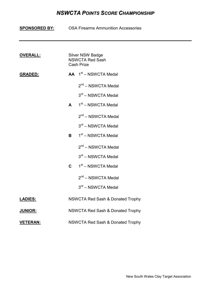### *NSWCTA POINTS SCORE CHAMPIONSHIP*

|                 | <b>SPONSORED BY:</b> OSA Firearms Ammunition Accessories |  |  |  |  |  |  |
|-----------------|----------------------------------------------------------|--|--|--|--|--|--|
| <b>OVERALL:</b> | <b>Silver NSW Badge</b>                                  |  |  |  |  |  |  |
|                 | <b>NSWCTA Red Sash</b><br><b>Cash Prize</b>              |  |  |  |  |  |  |
| <b>GRADED:</b>  | $AA$ 1 <sup>st</sup> – NSWCTA Medal                      |  |  |  |  |  |  |
|                 | $2nd - NSWCTA Medal$                                     |  |  |  |  |  |  |
|                 | 3rd - NSWCTA Medal                                       |  |  |  |  |  |  |
|                 | 1st - NSWCTA Medal<br>$\mathbf{A}$                       |  |  |  |  |  |  |
|                 | $2nd - NSWCTA Medal$                                     |  |  |  |  |  |  |
|                 | 3rd - NSWCTA Medal                                       |  |  |  |  |  |  |
|                 | 1 <sup>st</sup> – NSWCTA Medal<br>B                      |  |  |  |  |  |  |
|                 | $2^{nd}$ – NSWCTA Medal                                  |  |  |  |  |  |  |
|                 | 3rd - NSWCTA Medal                                       |  |  |  |  |  |  |
|                 | $1st$ – NSWCTA Medal<br>$\mathbf{C}$                     |  |  |  |  |  |  |
|                 | $2^{nd}$ – NSWCTA Medal                                  |  |  |  |  |  |  |
|                 | 3rd - NSWCTA Medal                                       |  |  |  |  |  |  |
| <u>LADIES:</u>  | <b>NSWCTA Red Sash &amp; Donated Trophy</b>              |  |  |  |  |  |  |
| <b>JUNIOR:</b>  | <b>NSWCTA Red Sash &amp; Donated Trophy</b>              |  |  |  |  |  |  |
| <b>VETERAN:</b> | <b>NSWCTA Red Sash &amp; Donated Trophy</b>              |  |  |  |  |  |  |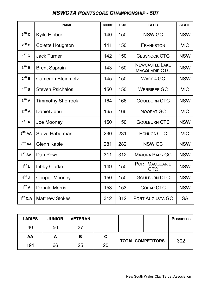# *NSWCTA POINTSCORE CHAMPIONSHIP - 50T*

|                     | <b>NAME</b>              | <b>SCORE</b> | <b>TGTS</b> | <b>CLUB</b>                                   | <b>STATE</b> |
|---------------------|--------------------------|--------------|-------------|-----------------------------------------------|--------------|
| $3^{RD}C$           | <b>Kyile Hibbert</b>     | 140          | 150         | <b>NSW GC</b>                                 | <b>NSW</b>   |
| $2^{ND}C$           | Colette Houghton         | 141          | 150         | <b>FRANKSTON</b>                              | <b>VIC</b>   |
| $1ST$ C             | <b>Jack Turner</b>       | 142          | 150         | <b>CESSNOCK CTC</b>                           | <b>NSW</b>   |
| $3^{RD}B$           | <b>Brent Suprain</b>     | 143          | 150         | <b>NEWCASTLE LAKE</b><br><b>MACQUARIE CTC</b> | <b>NSW</b>   |
| $2^{ND}$ B          | <b>Cameron Steinmetz</b> | 145          | 150         | <b>WAGGA GC</b>                               | <b>NSW</b>   |
| 1 <sup>ST</sup> B   | <b>Steven Psichalos</b>  | 150          | 150         | <b>WERRIBEE GC</b>                            | <b>VIC</b>   |
| $3^{RD}A$           | <b>Timmothy Shorrock</b> | 164          | 166         | <b>GOULBURN CTC</b>                           | <b>NSW</b>   |
| $2^{ND}$ A          | Daniel Jehu              | 165          | 166         | <b>NOORAT GC</b>                              | <b>VIC</b>   |
| 1 <sup>ST</sup> A   | Joe Mooney               | 150          | 150         | <b>GOULBURN CTC</b>                           | <b>NSW</b>   |
| 3 <sup>RD</sup> AA  | <b>Steve Haberman</b>    | 230          | 231         | ECHUCA CTC                                    | <b>VIC</b>   |
| $2^{ND}$ AA         | <b>Glenn Kable</b>       | 281          | 282         | <b>NSW GC</b>                                 | <b>NSW</b>   |
| 1 <sup>ST</sup> AA  | Dan Power                | 311          | 312         | <b>MAJURA PARK GC</b>                         | <b>NSW</b>   |
| 1 <sup>ST</sup> L   | <b>Libby Clarke</b>      | 149          | 150         | <b>PORT MACQUARIE</b><br><b>CTC</b>           | <b>NSW</b>   |
| $1^{ST}$ J          | <b>Cooper Mooney</b>     | 150          | 150         | <b>GOULBURN CTC</b>                           | <b>NSW</b>   |
| 1 <sup>ST</sup> V   | <b>Donald Morris</b>     | 153          | 153         | COBAR CTC                                     | <b>NSW</b>   |
| 1 <sup>ST</sup> O/A | <b>Matthew Stokes</b>    | 312          | 312         | PORT AUGUSTA GC                               | <b>SA</b>    |

| <b>LADIES</b> | <b>JUNIOR</b> | <b>VETERAN</b> |    |                          | <b>POSSIBLES</b> |
|---------------|---------------|----------------|----|--------------------------|------------------|
| 40            | 50            | 37             |    |                          |                  |
| AA            | A             | B              | С  | <b>TOTAL COMPETITORS</b> | 302              |
| 191           | 66            | 25             | 20 |                          |                  |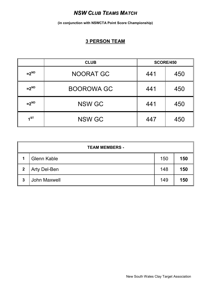### *NSW CLUB TEAMS MATCH*

**(in conjunction with NSWCTA Point Score Championship)**

### **3 PERSON TEAM**

|                | <b>CLUB</b>       | <b>SCORE/450</b> |     |
|----------------|-------------------|------------------|-----|
| $=2ND$         | <b>NOORAT GC</b>  | 450<br>441       |     |
| $=2ND$         | <b>BOOROWA GC</b> | 441              | 450 |
| $=2ND$         | <b>NSW GC</b>     | 441              | 450 |
| 1 <sub>1</sub> | <b>NSW GC</b>     | 447              | 450 |

|             | <b>TEAM MEMBERS -</b> |     |     |  |  |
|-------------|-----------------------|-----|-----|--|--|
| 1           | <b>Glenn Kable</b>    | 150 | 150 |  |  |
| $\mathbf 2$ | <b>Arty Del-Ben</b>   | 148 | 150 |  |  |
| 3           | <b>John Maxwell</b>   | 149 | 150 |  |  |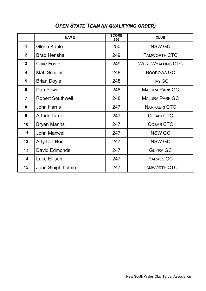|                         | <b>NAME</b>             | <b>SCORE</b><br>250 | <b>CLUB</b>             |
|-------------------------|-------------------------|---------------------|-------------------------|
| 1                       | <b>Glenn Kable</b>      | 250                 | <b>NSW GC</b>           |
| $\mathbf{2}$            | <b>Brad Henshall</b>    | 249                 | <b>TAMWORTH CTC</b>     |
| $\mathbf{3}$            | <b>Clive Foster</b>     | 249                 | <b>WEST WYALONG CTC</b> |
| $\overline{\mathbf{4}}$ | <b>Matt Schiller</b>    | 248                 | <b>BOOROWA GC</b>       |
| 5                       | <b>Brian Doyle</b>      | 248                 | <b>HAY GC</b>           |
| 6                       | Dan Power               | 248                 | <b>MAJURA PARK GC</b>   |
| $\overline{7}$          | <b>Robert Southwell</b> | 248                 | <b>MAJURA PARK GC</b>   |
| 8                       | <b>John Harris</b>      | 247                 | <b>NARRABRI CTC</b>     |
| 9                       | <b>Arthur Turner</b>    | 247                 | COBAR CTC               |
| 10                      | <b>Bryan Manns</b>      | 247                 | COBAR CTC               |
| 11                      | <b>John Maxwell</b>     | 247                 | <b>NSW GC</b>           |
| 12                      | <b>Arty Del-Ben</b>     | 247                 | <b>NSW GC</b>           |
| 13                      | David Edmonds           | 247                 | <b>GUYRA GC</b>         |
| 14                      | Luke Ellison            | 247                 | <b>PARKES GC</b>        |
| 15                      | John Sleightholme       | 247                 | <b>TAMWORTH CTC</b>     |

# *OPEN STATE TEAM (IN QUALIFYING ORDER)*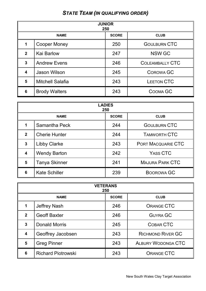# *STATE TEAM (IN QUALIFYING ORDER)*

| <b>JUNIOR</b><br>250    |                                            |     |                        |  |  |
|-------------------------|--------------------------------------------|-----|------------------------|--|--|
|                         | <b>NAME</b><br><b>SCORE</b><br><b>CLUB</b> |     |                        |  |  |
| 1                       | <b>Cooper Money</b>                        | 250 | <b>GOULBURN CTC</b>    |  |  |
| $\mathbf{2}$            | <b>Kai Barlow</b>                          | 247 | <b>NSW GC</b>          |  |  |
| 3                       | <b>Andrew Evens</b>                        | 246 | <b>COLEAMBALLY CTC</b> |  |  |
| $\overline{\mathbf{4}}$ | Jason Wilson                               | 245 | <b>COROWA GC</b>       |  |  |
| 5                       | <b>Mitchell Salafia</b>                    | 243 | <b>LEETON CTC</b>      |  |  |
| 6                       | <b>Brody Walters</b>                       | 243 | COOMA GC               |  |  |

| <b>LADIES</b><br>250    |                                            |     |                           |  |  |
|-------------------------|--------------------------------------------|-----|---------------------------|--|--|
|                         | <b>SCORE</b><br><b>CLUB</b><br><b>NAME</b> |     |                           |  |  |
| 1                       | Samantha Peck                              | 244 | <b>GOULBURN CTC</b>       |  |  |
| $\overline{2}$          | <b>Cherie Hunter</b>                       | 244 | <b>TAMWORTH CTC</b>       |  |  |
| $\overline{3}$          | <b>Libby Clarke</b>                        | 243 | <b>PORT MACQUARIE CTC</b> |  |  |
| $\overline{\mathbf{4}}$ | <b>Wendy Barton</b>                        | 242 | YASS CTC                  |  |  |
| 5                       | <b>Tanya Skinner</b>                       | 241 | <b>MAJURA PARK CTC</b>    |  |  |
| 6                       | <b>Kate Schiller</b>                       | 239 | <b>BOOROWA GC</b>         |  |  |

| <b>VETERANS</b><br>250  |                                            |     |                           |  |  |
|-------------------------|--------------------------------------------|-----|---------------------------|--|--|
|                         | <b>SCORE</b><br><b>NAME</b><br><b>CLUB</b> |     |                           |  |  |
| 1                       | <b>Jeffrey Nash</b>                        | 246 | <b>ORANGE CTC</b>         |  |  |
| $\mathbf{2}$            | <b>Geoff Baxter</b>                        | 246 | <b>GUYRA GC</b>           |  |  |
| 3                       | Donald Morris                              | 245 | COBAR CTC                 |  |  |
| $\overline{\mathbf{4}}$ | Geoffrey Jacobsen                          | 243 | <b>RICHMOND RIVER GC</b>  |  |  |
| 5                       | <b>Greg Pinner</b>                         | 243 | <b>ALBURY WODONGA CTC</b> |  |  |
| 6                       | <b>Richard Piotrowski</b>                  | 243 | <b>ORANGE CTC</b>         |  |  |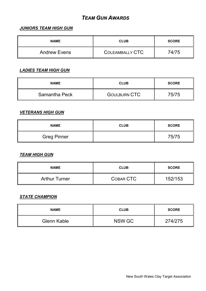### *TEAM GUN AWARDS*

#### *JUNIORS TEAM HIGH GUN*

| <b>NAME</b>         | <b>CLUB</b>     | <b>SCORE</b> |
|---------------------|-----------------|--------------|
| <b>Andrew Evens</b> | COLEAMBALLY CTC | 74/75        |

#### *LADIES TEAM HIGH GUN*

| <b>NAME</b>   | <b>CLUB</b>         | <b>SCORE</b> |
|---------------|---------------------|--------------|
| Samantha Peck | <b>GOULBURN CTC</b> | 75/75        |

#### *VETERANS HIGH GUN*

| <b>NAME</b>        | <b>CLUB</b> | <b>SCORE</b> |
|--------------------|-------------|--------------|
| <b>Greg Pinner</b> |             | 75/75        |

#### *TEAM HIGH GUN*

| <b>NAME</b>          | <b>CLUB</b> | <b>SCORE</b> |
|----------------------|-------------|--------------|
| <b>Arthur Turner</b> | COBAR CTC   | 152/153      |

### *STATE CHAMPION*

| <b>NAME</b> | <b>CLUB</b> | <b>SCORE</b> |
|-------------|-------------|--------------|
| Glenn Kable | NSW GC      | 274/275      |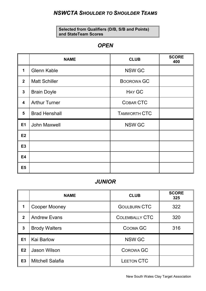# *NSWCTA SHOULDER TO SHOULDER TEAMS*

**Selected from Qualifiers (D/B, S/B and Points) and StateTeam Scores**

### *OPEN*

|                         | <b>NAME</b>          | <b>CLUB</b>         | <b>SCORE</b><br>400 |
|-------------------------|----------------------|---------------------|---------------------|
| $\mathbf 1$             | <b>Glenn Kable</b>   | <b>NSW GC</b>       |                     |
| 2 <sub>2</sub>          | <b>Matt Schiller</b> | <b>BOOROWA GC</b>   |                     |
| $\mathbf{3}$            | <b>Brain Doyle</b>   | <b>HAY GC</b>       |                     |
| $\overline{\mathbf{4}}$ | <b>Arthur Turner</b> | COBAR CTC           |                     |
| 5                       | <b>Brad Henshall</b> | <b>TAMWORTH CTC</b> |                     |
| <b>E1</b>               | <b>John Maxwell</b>  | <b>NSW GC</b>       |                     |
| E2                      |                      |                     |                     |
| <b>E3</b>               |                      |                     |                     |
| <b>E4</b>               |                      |                     |                     |
| E <sub>5</sub>          |                      |                     |                     |

### *JUNIOR*

|                | <b>NAME</b>             | <b>CLUB</b>                  | <b>SCORE</b><br>325 |
|----------------|-------------------------|------------------------------|---------------------|
| 1              | <b>Cooper Mooney</b>    | <b>GOULBURN CTC</b>          | 322                 |
| $\overline{2}$ | <b>Andrew Evans</b>     | 320<br><b>COLEMBALLY CTC</b> |                     |
| $\mathbf{3}$   | <b>Brody Walters</b>    | COOMA GC                     | 316                 |
| E1             | <b>Kai Barlow</b>       | <b>NSW GC</b>                |                     |
| E2             | <b>Jason Wilson</b>     | <b>COROWA GC</b>             |                     |
| E <sub>3</sub> | <b>Mitchell Salafia</b> | <b>LEETON CTC</b>            |                     |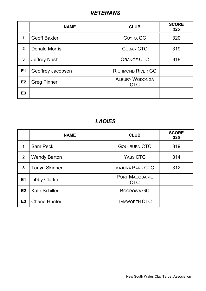# *VETERANS*

|                | <b>NAME</b>          | <b>CLUB</b>                         | <b>SCORE</b><br>325 |
|----------------|----------------------|-------------------------------------|---------------------|
| 1              | <b>Geoff Baxter</b>  | <b>GUYRA GC</b>                     | 320                 |
| $\mathbf{2}$   | <b>Donald Morris</b> | <b>COBAR CTC</b>                    | 319                 |
| $\mathbf{3}$   | <b>Jeffrey Nash</b>  | <b>ORANGE CTC</b>                   | 318                 |
| E1             | Geoffrey Jacobsen    | <b>RICHMOND RIVER GC</b>            |                     |
| E2             | <b>Greg Pinner</b>   | <b>ALBURY WODONGA</b><br><b>CTC</b> |                     |
| E <sub>3</sub> |                      |                                     |                     |

# *LADIES*

|              | <b>NAME</b>          | <b>CLUB</b>                         | <b>SCORE</b><br>325 |
|--------------|----------------------|-------------------------------------|---------------------|
| 1            | Sam Peck             | <b>GOULBURN CTC</b>                 | 319                 |
| $\mathbf{2}$ | <b>Wendy Barton</b>  | <b>YASS CTC</b>                     | 314                 |
| $\mathbf{3}$ | <b>Tanya Skinner</b> | <b>MAJURA PARK CTC</b>              | 312                 |
| <b>E1</b>    | <b>Libby Clarke</b>  | <b>PORT MACQUARIE</b><br><b>CTC</b> |                     |
| E2           | <b>Kate Schiller</b> | BOOROWA GC                          |                     |
| <b>E3</b>    | <b>Cherie Hunter</b> | <b>TAMWORTH CTC</b>                 |                     |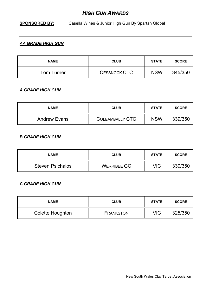### *HIGH GUN AWARDS*

### **SPONSORED BY:** Casella Wines & Junior High Gun By Spartan Global

### *AA GRADE HIGH GUN*

| <b>NAME</b>       | <b>CLUB</b>         | <b>STATE</b> | <b>SCORE</b> |
|-------------------|---------------------|--------------|--------------|
| <b>Tom Turner</b> | <b>CESSNOCK CTC</b> | <b>NSW</b>   | 345/350      |

### *A GRADE HIGH GUN*

| <b>NAME</b>         | <b>CLUB</b>     | <b>STATE</b> | <b>SCORE</b> |
|---------------------|-----------------|--------------|--------------|
| <b>Andrew Evans</b> | COLEAMBALLY CTC | <b>NSW</b>   | 339/350      |

#### *B GRADE HIGH GUN*

| <b>NAME</b>             | <b>CLUB</b>        | <b>STATE</b> | <b>SCORE</b> |
|-------------------------|--------------------|--------------|--------------|
| <b>Steven Psichalos</b> | <b>WERRIBEE GC</b> | VIC          | 330/350      |

### *C GRADE HIGH GUN*

| <b>NAME</b>      | <b>CLUB</b>      | <b>STATE</b> | <b>SCORE</b> |
|------------------|------------------|--------------|--------------|
| Colette Houghton | <b>FRANKSTON</b> | VIC          | 325/350      |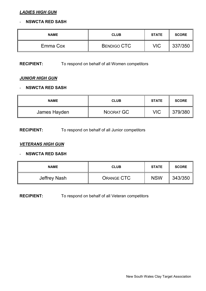#### *LADIES HIGH GUN*

#### - **NSWCTA RED SASH**

| <b>NAME</b> | <b>CLUB</b>        | <b>STATE</b> | <b>SCORE</b> |
|-------------|--------------------|--------------|--------------|
| Emma Cox    | <b>BENDIGO CTC</b> | VIC          | 337/350      |

#### **RECIPIENT:** To respond on behalf of all Women competitors

### *JUNIOR HIGH GUN*

#### - **NSWCTA RED SASH**

| <b>NAME</b>  | <b>CLUB</b> | <b>STATE</b> | <b>SCORE</b> |
|--------------|-------------|--------------|--------------|
| James Hayden | NOORAT GC   | VIC          | 379/380      |

### **RECIPIENT:** To respond on behalf of all Junior competitors

#### *VETERANS HIGH GUN*

#### - **NSWCTA RED SASH**

| <b>NAME</b>  | <b>CLUB</b> | <b>STATE</b> | <b>SCORE</b> |
|--------------|-------------|--------------|--------------|
| Jeffrey Nash | ORANGE CTC  | <b>NSW</b>   | 343/350      |

#### **RECIPIENT:** To respond on behalf of all Veteran competitors